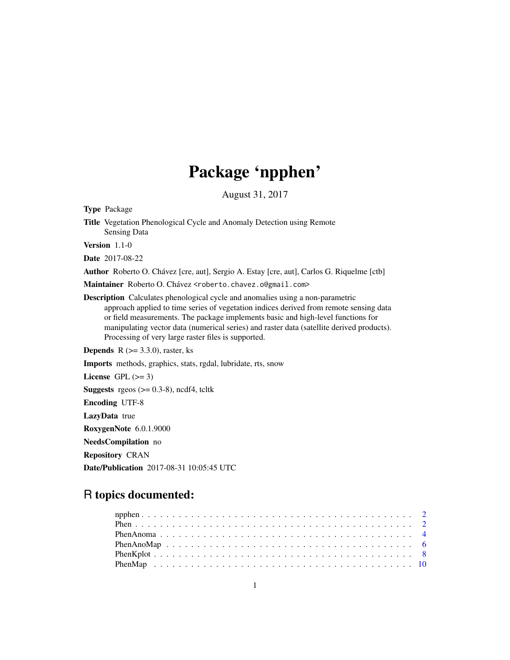## Package 'npphen'

August 31, 2017

<span id="page-0-0"></span>Type Package

Title Vegetation Phenological Cycle and Anomaly Detection using Remote Sensing Data

Version 1.1-0

Date 2017-08-22

Author Roberto O. Chávez [cre, aut], Sergio A. Estay [cre, aut], Carlos G. Riquelme [ctb]

Maintainer Roberto O. Chávez <roberto.chavez.o@gmail.com>

Description Calculates phenological cycle and anomalies using a non-parametric approach applied to time series of vegetation indices derived from remote sensing data or field measurements. The package implements basic and high-level functions for manipulating vector data (numerical series) and raster data (satellite derived products). Processing of very large raster files is supported.

**Depends** R  $(>= 3.3.0)$ , raster, ks

Imports methods, graphics, stats, rgdal, lubridate, rts, snow

License GPL  $(>= 3)$ 

**Suggests** rgeos  $(>= 0.3-8)$ , ncdf4, tcltk

Encoding UTF-8

LazyData true

RoxygenNote 6.0.1.9000

NeedsCompilation no

Repository CRAN

Date/Publication 2017-08-31 10:05:45 UTC

### R topics documented: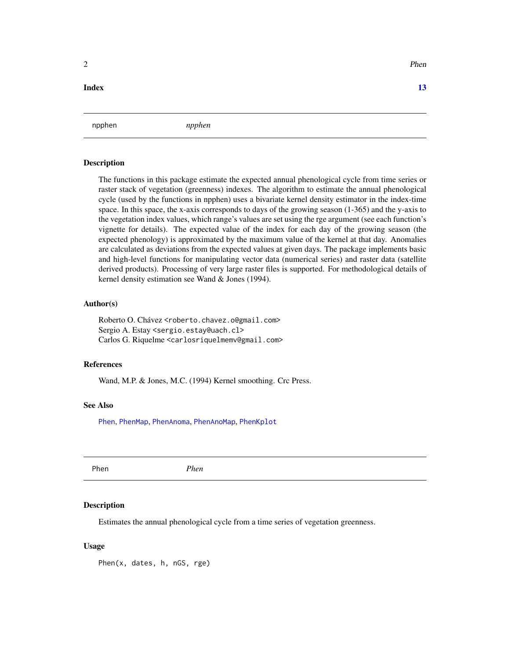#### **Index** [13](#page-12-0)

npphen *npphen*

#### Description

The functions in this package estimate the expected annual phenological cycle from time series or raster stack of vegetation (greenness) indexes. The algorithm to estimate the annual phenological cycle (used by the functions in npphen) uses a bivariate kernel density estimator in the index-time space. In this space, the x-axis corresponds to days of the growing season (1-365) and the y-axis to the vegetation index values, which range's values are set using the rge argument (see each function's vignette for details). The expected value of the index for each day of the growing season (the expected phenology) is approximated by the maximum value of the kernel at that day. Anomalies are calculated as deviations from the expected values at given days. The package implements basic and high-level functions for manipulating vector data (numerical series) and raster data (satellite derived products). Processing of very large raster files is supported. For methodological details of kernel density estimation see Wand & Jones (1994).

#### Author(s)

Roberto O. Chávez <roberto.chavez.o@gmail.com> Sergio A. Estay <sergio.estay@uach.cl> Carlos G. Riquelme <carlosriquelmemv@gmail.com>

#### References

Wand, M.P. & Jones, M.C. (1994) Kernel smoothing. Crc Press.

#### See Also

[Phen](#page-1-1), [PhenMap](#page-9-1), [PhenAnoma](#page-3-1), [PhenAnoMap](#page-5-1), [PhenKplot](#page-7-1)

<span id="page-1-1"></span>Phen *Phen*

#### **Description**

Estimates the annual phenological cycle from a time series of vegetation greenness.

#### Usage

Phen(x, dates, h, nGS, rge)

<span id="page-1-0"></span> $2 \times 2$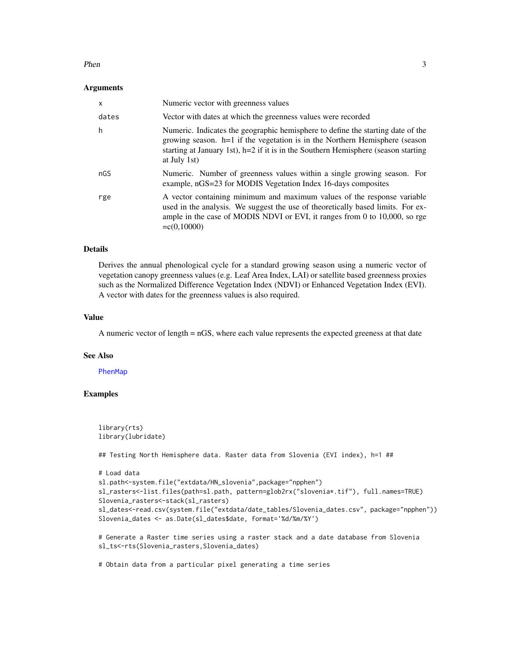#### <span id="page-2-0"></span>Phen 3

#### Arguments

| $\mathsf{x}$ | Numeric vector with greenness values                                                                                                                                                                                                                                   |
|--------------|------------------------------------------------------------------------------------------------------------------------------------------------------------------------------------------------------------------------------------------------------------------------|
| dates        | Vector with dates at which the greenness values were recorded                                                                                                                                                                                                          |
| h            | Numeric. Indicates the geographic hemisphere to define the starting date of the<br>growing season. h=1 if the vegetation is in the Northern Hemisphere (season<br>starting at January 1st), $h=2$ if it is in the Southern Hemisphere (season starting<br>at July 1st) |
| nGS          | Numeric. Number of greenness values within a single growing season. For<br>example, nGS=23 for MODIS Vegetation Index 16-days composites                                                                                                                               |
| rge          | A vector containing minimum and maximum values of the response variable<br>used in the analysis. We suggest the use of theoretically based limits. For ex-<br>ample in the case of MODIS NDVI or EVI, it ranges from 0 to 10,000, so rge<br>$= c(0, 10000)$            |

#### Details

Derives the annual phenological cycle for a standard growing season using a numeric vector of vegetation canopy greenness values (e.g. Leaf Area Index, LAI) or satellite based greenness proxies such as the Normalized Difference Vegetation Index (NDVI) or Enhanced Vegetation Index (EVI). A vector with dates for the greenness values is also required.

#### Value

A numeric vector of length = nGS, where each value represents the expected greeness at that date

#### See Also

#### [PhenMap](#page-9-1)

#### Examples

```
library(rts)
library(lubridate)
## Testing North Hemisphere data. Raster data from Slovenia (EVI index), h=1 ##
# Load data
sl.path<-system.file("extdata/HN_slovenia",package="npphen")
sl_rasters<-list.files(path=sl.path, pattern=glob2rx("slovenia*.tif"), full.names=TRUE)
Slovenia_rasters<-stack(sl_rasters)
sl_dates<-read.csv(system.file("extdata/date_tables/Slovenia_dates.csv", package="npphen"))
Slovenia_dates <- as.Date(sl_dates$date, format='%d/%m/%Y')
# Generate a Raster time series using a raster stack and a date database from Slovenia
sl_ts<-rts(Slovenia_rasters,Slovenia_dates)
```
# Obtain data from a particular pixel generating a time series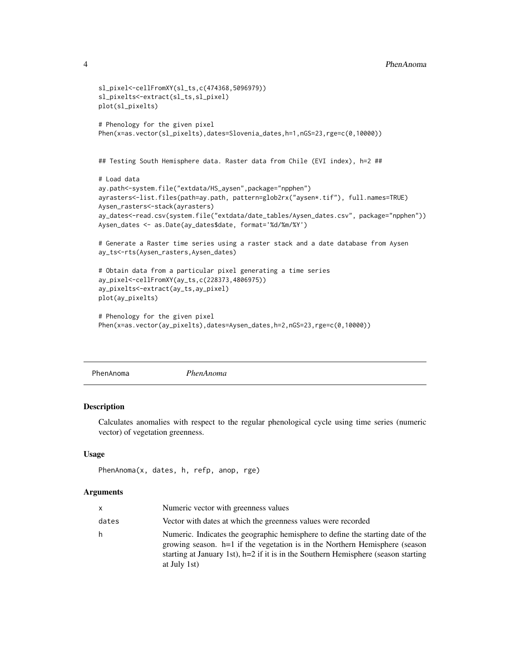```
sl_pixel<-cellFromXY(sl_ts,c(474368,5096979))
sl_pixelts<-extract(sl_ts,sl_pixel)
plot(sl_pixelts)
# Phenology for the given pixel
Phen(x=as.vector(sl_pixelts),dates=Slovenia_dates,h=1,nGS=23,rge=c(0,10000))
## Testing South Hemisphere data. Raster data from Chile (EVI index), h=2 ##
# Load data
ay.path<-system.file("extdata/HS_aysen",package="npphen")
ayrasters<-list.files(path=ay.path, pattern=glob2rx("aysen*.tif"), full.names=TRUE)
Aysen_rasters<-stack(ayrasters)
ay_dates<-read.csv(system.file("extdata/date_tables/Aysen_dates.csv", package="npphen"))
Aysen_dates <- as.Date(ay_dates$date, format='%d/%m/%Y')
# Generate a Raster time series using a raster stack and a date database from Aysen
ay_ts<-rts(Aysen_rasters,Aysen_dates)
# Obtain data from a particular pixel generating a time series
ay_pixel<-cellFromXY(ay_ts,c(228373,4806975))
ay_pixelts<-extract(ay_ts,ay_pixel)
plot(ay_pixelts)
# Phenology for the given pixel
Phen(x=as.vector(ay_pixelts),dates=Aysen_dates,h=2,nGS=23,rge=c(0,10000))
```
<span id="page-3-1"></span>PhenAnoma *PhenAnoma*

#### Description

Calculates anomalies with respect to the regular phenological cycle using time series (numeric vector) of vegetation greenness.

#### Usage

```
PhenAnoma(x, dates, h, refp, anop, rge)
```
#### Arguments

| x     | Numeric vector with greenness values                                                                                                                                                                                                                                     |
|-------|--------------------------------------------------------------------------------------------------------------------------------------------------------------------------------------------------------------------------------------------------------------------------|
| dates | Vector with dates at which the greenness values were recorded                                                                                                                                                                                                            |
| h     | Numeric. Indicates the geographic hemisphere to define the starting date of the<br>growing season. $h=1$ if the vegetation is in the Northern Hemisphere (season<br>starting at January 1st), $h=2$ if it is in the Southern Hemisphere (season starting<br>at July 1st) |

<span id="page-3-0"></span>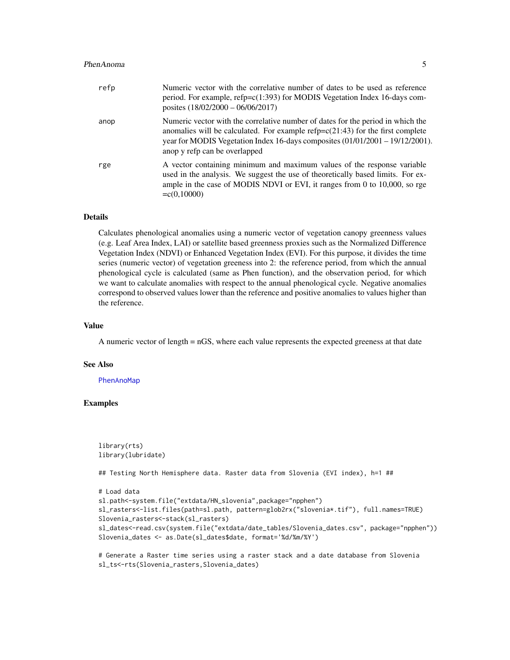#### <span id="page-4-0"></span>PhenAnoma 5

| refp | Numeric vector with the correlative number of dates to be used as reference<br>period. For example, refp=c(1:393) for MODIS Vegetation Index 16-days com-<br>posites $(18/02/2000 - 06/06/2017)$                                                                                         |
|------|------------------------------------------------------------------------------------------------------------------------------------------------------------------------------------------------------------------------------------------------------------------------------------------|
| anop | Numeric vector with the correlative number of dates for the period in which the<br>anomalies will be calculated. For example $refp=c(21:43)$ for the first complete<br>year for MODIS Vegetation Index 16-days composites $(01/01/2001 - 19/12/2001)$ .<br>anop y refp can be overlapped |
| rge  | A vector containing minimum and maximum values of the response variable<br>used in the analysis. We suggest the use of theoretically based limits. For ex-<br>ample in the case of MODIS NDVI or EVI, it ranges from 0 to 10,000, so rge<br>$= c(0, 10000)$                              |

#### Details

Calculates phenological anomalies using a numeric vector of vegetation canopy greenness values (e.g. Leaf Area Index, LAI) or satellite based greenness proxies such as the Normalized Difference Vegetation Index (NDVI) or Enhanced Vegetation Index (EVI). For this purpose, it divides the time series (numeric vector) of vegetation greeness into 2: the reference period, from which the annual phenological cycle is calculated (same as Phen function), and the observation period, for which we want to calculate anomalies with respect to the annual phenological cycle. Negative anomalies correspond to observed values lower than the reference and positive anomalies to values higher than the reference.

#### Value

A numeric vector of length = nGS, where each value represents the expected greeness at that date

#### See Also

[PhenAnoMap](#page-5-1)

#### Examples

```
library(rts)
library(lubridate)
```
## Testing North Hemisphere data. Raster data from Slovenia (EVI index), h=1 ##

```
# Load data
sl.path<-system.file("extdata/HN_slovenia",package="npphen")
sl_rasters<-list.files(path=sl.path, pattern=glob2rx("slovenia*.tif"), full.names=TRUE)
Slovenia_rasters<-stack(sl_rasters)
sl_dates<-read.csv(system.file("extdata/date_tables/Slovenia_dates.csv", package="npphen"))
Slovenia_dates <- as.Date(sl_dates$date, format='%d/%m/%Y')
```
# Generate a Raster time series using a raster stack and a date database from Slovenia sl\_ts<-rts(Slovenia\_rasters,Slovenia\_dates)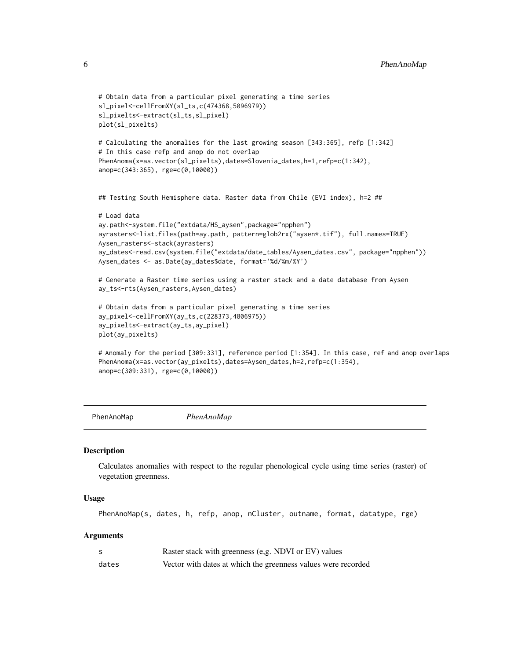```
# Obtain data from a particular pixel generating a time series
sl_pixel<-cellFromXY(sl_ts,c(474368,5096979))
sl_pixelts<-extract(sl_ts,sl_pixel)
plot(sl_pixelts)
# Calculating the anomalies for the last growing season [343:365], refp [1:342]
# In this case refp and anop do not overlap
PhenAnoma(x=as.vector(sl_pixelts),dates=Slovenia_dates,h=1,refp=c(1:342),
anop=c(343:365), rge=c(0,10000))
## Testing South Hemisphere data. Raster data from Chile (EVI index), h=2 ##
# Load data
ay.path<-system.file("extdata/HS_aysen",package="npphen")
ayrasters<-list.files(path=ay.path, pattern=glob2rx("aysen*.tif"), full.names=TRUE)
Aysen_rasters<-stack(ayrasters)
ay_dates<-read.csv(system.file("extdata/date_tables/Aysen_dates.csv", package="npphen"))
Aysen_dates <- as.Date(ay_dates$date, format='%d/%m/%Y')
# Generate a Raster time series using a raster stack and a date database from Aysen
ay_ts<-rts(Aysen_rasters,Aysen_dates)
# Obtain data from a particular pixel generating a time series
ay_pixel<-cellFromXY(ay_ts,c(228373,4806975))
ay_pixelts<-extract(ay_ts,ay_pixel)
plot(ay_pixelts)
# Anomaly for the period [309:331], reference period [1:354]. In this case, ref and anop overlaps
PhenAnoma(x=as.vector(ay_pixelts),dates=Aysen_dates,h=2,refp=c(1:354),
anop=c(309:331), rge=c(0,10000))
```

```
PhenAnoMap PhenAnoMap
```
#### **Description**

Calculates anomalies with respect to the regular phenological cycle using time series (raster) of vegetation greenness.

#### Usage

PhenAnoMap(s, dates, h, refp, anop, nCluster, outname, format, datatype, rge)

#### **Arguments**

|       | Raster stack with greenness (e.g. NDVI or EV) values          |
|-------|---------------------------------------------------------------|
| dates | Vector with dates at which the greenness values were recorded |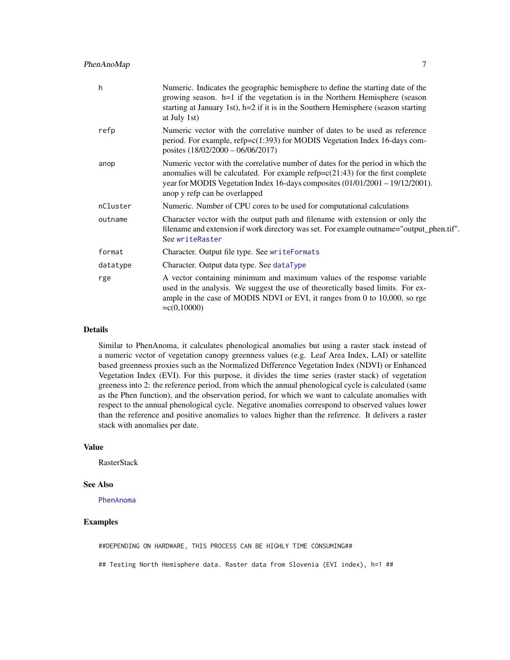#### <span id="page-6-0"></span>PhenAnoMap 7

| Numeric. Indicates the geographic hemisphere to define the starting date of the<br>growing season. h=1 if the vegetation is in the Northern Hemisphere (season<br>starting at January 1st), $h=2$ if it is in the Southern Hemisphere (season starting<br>at July 1st)                |
|---------------------------------------------------------------------------------------------------------------------------------------------------------------------------------------------------------------------------------------------------------------------------------------|
| Numeric vector with the correlative number of dates to be used as reference<br>period. For example, $refp=c(1:393)$ for MODIS Vegetation Index 16-days com-<br>posites $(18/02/2000 - 06/06/2017)$                                                                                    |
| Numeric vector with the correlative number of dates for the period in which the<br>anomalies will be calculated. For example $refp=c(21:43)$ for the first complete<br>year for MODIS Vegetation Index 16-days composites (01/01/2001 - 19/12/2001).<br>anop y refp can be overlapped |
| Numeric. Number of CPU cores to be used for computational calculations                                                                                                                                                                                                                |
| Character vector with the output path and filename with extension or only the<br>filename and extension if work directory was set. For example outname="output_phen.tif".<br>See writeRaster                                                                                          |
| Character. Output file type. See writeFormats                                                                                                                                                                                                                                         |
| Character. Output data type. See dataType                                                                                                                                                                                                                                             |
| A vector containing minimum and maximum values of the response variable<br>used in the analysis. We suggest the use of theoretically based limits. For ex-<br>ample in the case of MODIS NDVI or EVI, it ranges from 0 to 10,000, so rge<br>$= c(0, 10000)$                           |
|                                                                                                                                                                                                                                                                                       |

#### Details

Similar to PhenAnoma, it calculates phenological anomalies but using a raster stack instead of a numeric vector of vegetation canopy greenness values (e.g. Leaf Area Index, LAI) or satellite based greenness proxies such as the Normalized Difference Vegetation Index (NDVI) or Enhanced Vegetation Index (EVI). For this purpose, it divides the time series (raster stack) of vegetation greeness into 2: the reference period, from which the annual phenological cycle is calculated (same as the Phen function), and the observation period, for which we want to calculate anomalies with respect to the annual phenological cycle. Negative anomalies correspond to observed values lower than the reference and positive anomalies to values higher than the reference. It delivers a raster stack with anomalies per date.

#### Value

**RasterStack** 

#### See Also

[PhenAnoma](#page-3-1)

#### Examples

##DEPENDING ON HARDWARE, THIS PROCESS CAN BE HIGHLY TIME CONSUMING##

## Testing North Hemisphere data. Raster data from Slovenia (EVI index), h=1 ##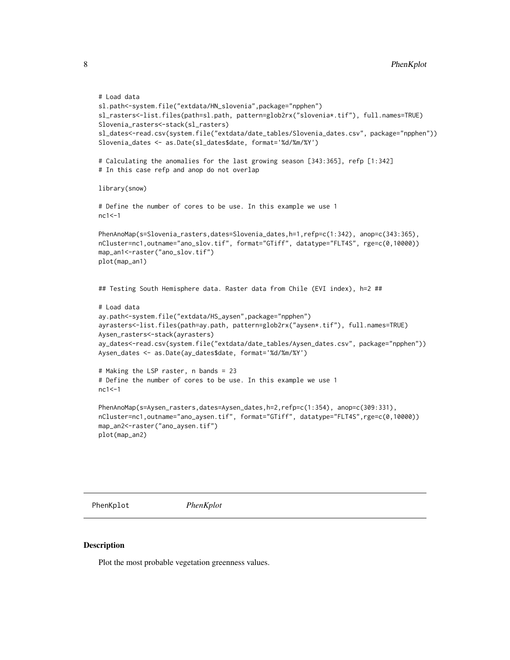```
# Load data
sl.path<-system.file("extdata/HN_slovenia",package="npphen")
sl_rasters<-list.files(path=sl.path, pattern=glob2rx("slovenia*.tif"), full.names=TRUE)
Slovenia_rasters<-stack(sl_rasters)
sl_dates<-read.csv(system.file("extdata/date_tables/Slovenia_dates.csv", package="npphen"))
Slovenia_dates <- as.Date(sl_dates$date, format='%d/%m/%Y')
# Calculating the anomalies for the last growing season [343:365], refp [1:342]
# In this case refp and anop do not overlap
library(snow)
# Define the number of cores to be use. In this example we use 1
nc1 < -1PhenAnoMap(s=Slovenia_rasters,dates=Slovenia_dates,h=1,refp=c(1:342), anop=c(343:365),
nCluster=nc1,outname="ano_slov.tif", format="GTiff", datatype="FLT4S", rge=c(0,10000))
map_an1<-raster("ano_slov.tif")
plot(map_an1)
## Testing South Hemisphere data. Raster data from Chile (EVI index), h=2 ##
# Load data
ay.path<-system.file("extdata/HS_aysen",package="npphen")
ayrasters<-list.files(path=ay.path, pattern=glob2rx("aysen*.tif"), full.names=TRUE)
Aysen_rasters<-stack(ayrasters)
ay_dates<-read.csv(system.file("extdata/date_tables/Aysen_dates.csv", package="npphen"))
Aysen_dates <- as.Date(ay_dates$date, format='%d/%m/%Y')
# Making the LSP raster, n bands = 23
# Define the number of cores to be use. In this example we use 1
nc1 < -1PhenAnoMap(s=Aysen_rasters,dates=Aysen_dates,h=2,refp=c(1:354), anop=c(309:331),
nCluster=nc1,outname="ano_aysen.tif", format="GTiff", datatype="FLT4S",rge=c(0,10000))
map_an2<-raster("ano_aysen.tif")
plot(map_an2)
```
<span id="page-7-1"></span>PhenKplot *PhenKplot*

#### Description

Plot the most probable vegetation greenness values.

<span id="page-7-0"></span>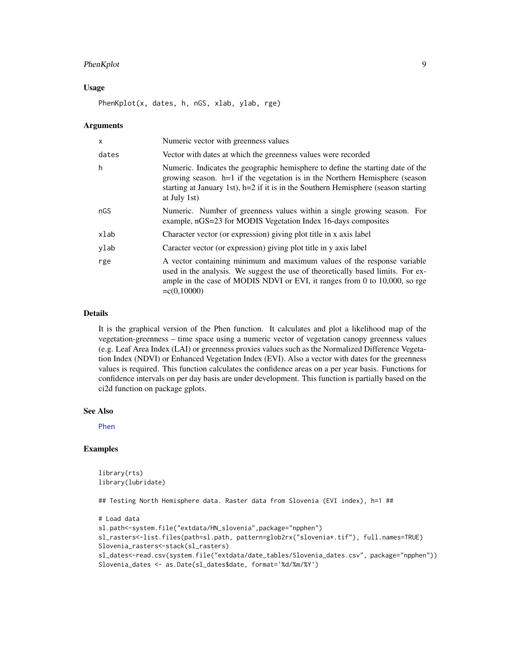#### <span id="page-8-0"></span>PhenKplot 9

#### Usage

PhenKplot(x, dates, h, nGS, xlab, ylab, rge)

#### Arguments

| X     | Numeric vector with greenness values                                                                                                                                                                                                                                   |
|-------|------------------------------------------------------------------------------------------------------------------------------------------------------------------------------------------------------------------------------------------------------------------------|
| dates | Vector with dates at which the greenness values were recorded                                                                                                                                                                                                          |
| h     | Numeric. Indicates the geographic hemisphere to define the starting date of the<br>growing season. h=1 if the vegetation is in the Northern Hemisphere (season<br>starting at January 1st), $h=2$ if it is in the Southern Hemisphere (season starting<br>at July 1st) |
| nGS   | Numeric. Number of greenness values within a single growing season. For<br>example, nGS=23 for MODIS Vegetation Index 16-days composites                                                                                                                               |
| xlab  | Character vector (or expression) giving plot title in x axis label                                                                                                                                                                                                     |
| ylab  | Caracter vector (or expression) giving plot title in y axis label                                                                                                                                                                                                      |
| rge   | A vector containing minimum and maximum values of the response variable<br>used in the analysis. We suggest the use of theoretically based limits. For ex-<br>ample in the case of MODIS NDVI or EVI, it ranges from 0 to 10,000, so rge<br>$= c(0, 10000)$            |

#### Details

It is the graphical version of the Phen function. It calculates and plot a likelihood map of the vegetation-greenness – time space using a numeric vector of vegetation canopy greenness values (e.g. Leaf Area Index (LAI) or greenness proxies values such as the Normalized Difference Vegetation Index (NDVI) or Enhanced Vegetation Index (EVI). Also a vector with dates for the greenness values is required. This function calculates the confidence areas on a per year basis. Functions for confidence intervals on per day basis are under development. This function is partially based on the ci2d function on package gplots.

#### See Also

[Phen](#page-1-1)

#### Examples

```
library(rts)
library(lubridate)
```
## Testing North Hemisphere data. Raster data from Slovenia (EVI index), h=1 ##

```
# Load data
sl.path<-system.file("extdata/HN_slovenia",package="npphen")
sl_rasters<-list.files(path=sl.path, pattern=glob2rx("slovenia*.tif"), full.names=TRUE)
Slovenia_rasters<-stack(sl_rasters)
sl_dates<-read.csv(system.file("extdata/date_tables/Slovenia_dates.csv", package="npphen"))
Slovenia_dates <- as.Date(sl_dates$date, format='%d/%m/%Y')
```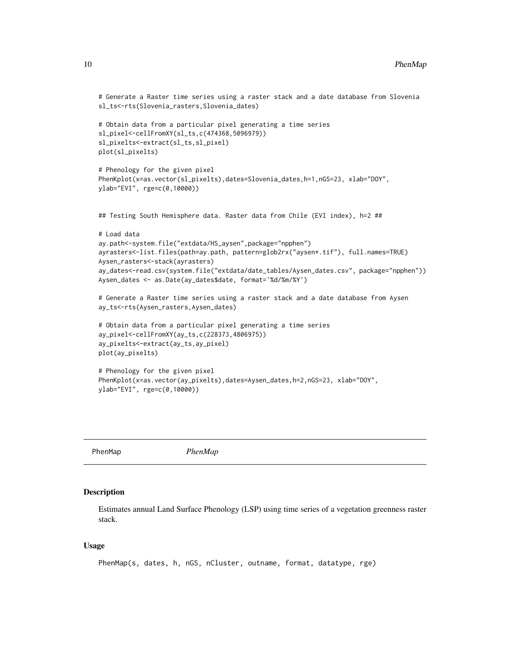```
# Generate a Raster time series using a raster stack and a date database from Slovenia
sl_ts<-rts(Slovenia_rasters,Slovenia_dates)
# Obtain data from a particular pixel generating a time series
sl_pixel<-cellFromXY(sl_ts,c(474368,5096979))
sl_pixelts<-extract(sl_ts,sl_pixel)
plot(sl_pixelts)
# Phenology for the given pixel
PhenKplot(x=as.vector(sl_pixelts),dates=Slovenia_dates,h=1,nGS=23, xlab="DOY",
ylab="EVI", rge=c(0,10000))
## Testing South Hemisphere data. Raster data from Chile (EVI index), h=2 ##
# Load data
ay.path<-system.file("extdata/HS_aysen",package="npphen")
ayrasters<-list.files(path=ay.path, pattern=glob2rx("aysen*.tif"), full.names=TRUE)
Aysen_rasters<-stack(ayrasters)
ay_dates<-read.csv(system.file("extdata/date_tables/Aysen_dates.csv", package="npphen"))
Aysen_dates <- as.Date(ay_dates$date, format='%d/%m/%Y')
# Generate a Raster time series using a raster stack and a date database from Aysen
ay_ts<-rts(Aysen_rasters,Aysen_dates)
# Obtain data from a particular pixel generating a time series
ay_pixel<-cellFromXY(ay_ts,c(228373,4806975))
ay_pixelts<-extract(ay_ts,ay_pixel)
plot(ay_pixelts)
# Phenology for the given pixel
PhenKplot(x=as.vector(ay_pixelts),dates=Aysen_dates,h=2,nGS=23, xlab="DOY",
ylab="EVI", rge=c(0,10000))
```
<span id="page-9-1"></span>PhenMap *PhenMap*

#### **Description**

Estimates annual Land Surface Phenology (LSP) using time series of a vegetation greenness raster stack.

#### Usage

```
PhenMap(s, dates, h, nGS, nCluster, outname, format, datatype, rge)
```
<span id="page-9-0"></span>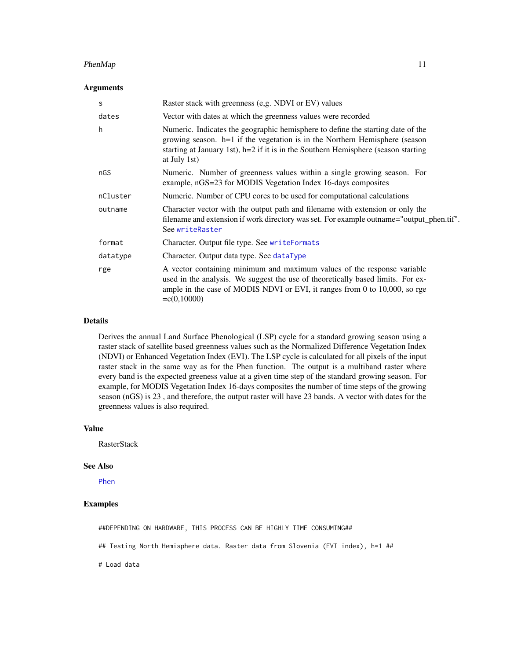#### <span id="page-10-0"></span> $P$ henMap 11

#### Arguments

| S        | Raster stack with greenness (e,g. NDVI or EV) values                                                                                                                                                                                                                   |
|----------|------------------------------------------------------------------------------------------------------------------------------------------------------------------------------------------------------------------------------------------------------------------------|
| dates    | Vector with dates at which the greenness values were recorded                                                                                                                                                                                                          |
| h        | Numeric. Indicates the geographic hemisphere to define the starting date of the<br>growing season. h=1 if the vegetation is in the Northern Hemisphere (season<br>starting at January 1st), $h=2$ if it is in the Southern Hemisphere (season starting<br>at July 1st) |
| nGS      | Numeric. Number of greenness values within a single growing season. For<br>example, nGS=23 for MODIS Vegetation Index 16-days composites                                                                                                                               |
| nCluster | Numeric. Number of CPU cores to be used for computational calculations                                                                                                                                                                                                 |
| outname  | Character vector with the output path and filename with extension or only the<br>filename and extension if work directory was set. For example outname="output_phen.tif".<br>See writeRaster                                                                           |
| format   | Character. Output file type. See writeFormats                                                                                                                                                                                                                          |
| datatype | Character. Output data type. See dataType                                                                                                                                                                                                                              |
| rge      | A vector containing minimum and maximum values of the response variable<br>used in the analysis. We suggest the use of theoretically based limits. For ex-<br>ample in the case of MODIS NDVI or EVI, it ranges from 0 to 10,000, so rge<br>$= c(0, 10000)$            |

#### Details

Derives the annual Land Surface Phenological (LSP) cycle for a standard growing season using a raster stack of satellite based greenness values such as the Normalized Difference Vegetation Index (NDVI) or Enhanced Vegetation Index (EVI). The LSP cycle is calculated for all pixels of the input raster stack in the same way as for the Phen function. The output is a multiband raster where every band is the expected greeness value at a given time step of the standard growing season. For example, for MODIS Vegetation Index 16-days composites the number of time steps of the growing season (nGS) is 23 , and therefore, the output raster will have 23 bands. A vector with dates for the greenness values is also required.

#### Value

RasterStack

#### See Also

[Phen](#page-1-1)

#### Examples

##DEPENDING ON HARDWARE, THIS PROCESS CAN BE HIGHLY TIME CONSUMING##

## Testing North Hemisphere data. Raster data from Slovenia (EVI index), h=1 ##

# Load data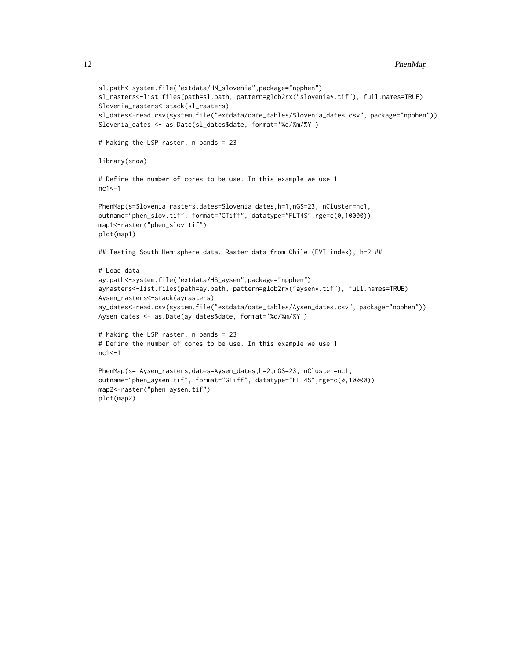```
sl.path<-system.file("extdata/HN_slovenia",package="npphen")
sl_rasters<-list.files(path=sl.path, pattern=glob2rx("slovenia*.tif"), full.names=TRUE)
Slovenia_rasters<-stack(sl_rasters)
sl_dates<-read.csv(system.file("extdata/date_tables/Slovenia_dates.csv", package="npphen"))
Slovenia_dates <- as.Date(sl_dates$date, format='%d/%m/%Y')
# Making the LSP raster, n bands = 23
library(snow)
# Define the number of cores to be use. In this example we use 1
nc1 <-1
PhenMap(s=Slovenia_rasters,dates=Slovenia_dates,h=1,nGS=23, nCluster=nc1,
outname="phen_slov.tif", format="GTiff", datatype="FLT4S",rge=c(0,10000))
map1<-raster("phen_slov.tif")
plot(map1)
## Testing South Hemisphere data. Raster data from Chile (EVI index), h=2 ##
# Load data
ay.path<-system.file("extdata/HS_aysen",package="npphen")
ayrasters<-list.files(path=ay.path, pattern=glob2rx("aysen*.tif"), full.names=TRUE)
Aysen_rasters<-stack(ayrasters)
ay_dates<-read.csv(system.file("extdata/date_tables/Aysen_dates.csv", package="npphen"))
Aysen_dates <- as.Date(ay_dates$date, format='%d/%m/%Y')
# Making the LSP raster, n bands = 23
# Define the number of cores to be use. In this example we use 1
nc1<-1PhenMap(s= Aysen_rasters,dates=Aysen_dates,h=2,nGS=23, nCluster=nc1,
outname="phen_aysen.tif", format="GTiff", datatype="FLT4S",rge=c(0,10000))
map2<-raster("phen_aysen.tif")
plot(map2)
```